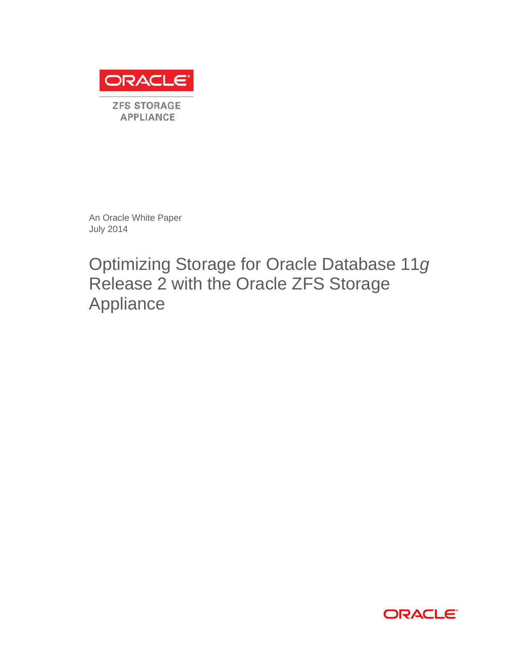

**ZFS STORAGE APPLIANCE** 

An Oracle White Paper July 2014

Optimizing Storage for Oracle Database 11*g* Release 2 with the Oracle ZFS Storage Appliance

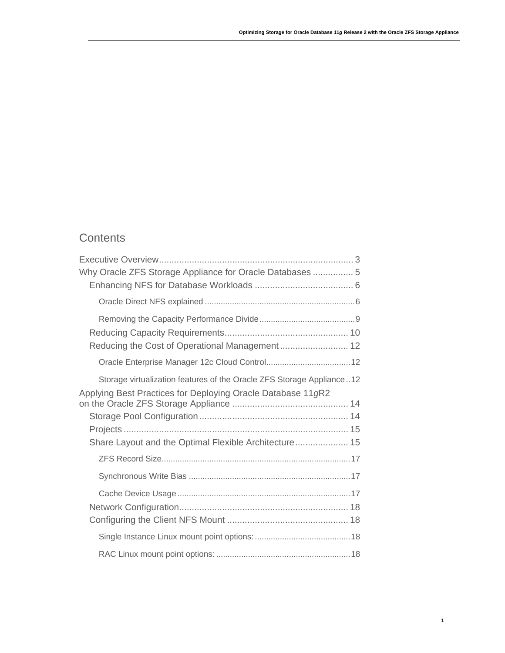# **Contents**

| Why Oracle ZFS Storage Appliance for Oracle Databases  5                                                                                                                                      |
|-----------------------------------------------------------------------------------------------------------------------------------------------------------------------------------------------|
|                                                                                                                                                                                               |
| Reducing the Cost of Operational Management 12                                                                                                                                                |
|                                                                                                                                                                                               |
| Storage virtualization features of the Oracle ZFS Storage Appliance12<br>Applying Best Practices for Deploying Oracle Database 11gR2<br>Share Layout and the Optimal Flexible Architecture 15 |
|                                                                                                                                                                                               |
|                                                                                                                                                                                               |
|                                                                                                                                                                                               |
|                                                                                                                                                                                               |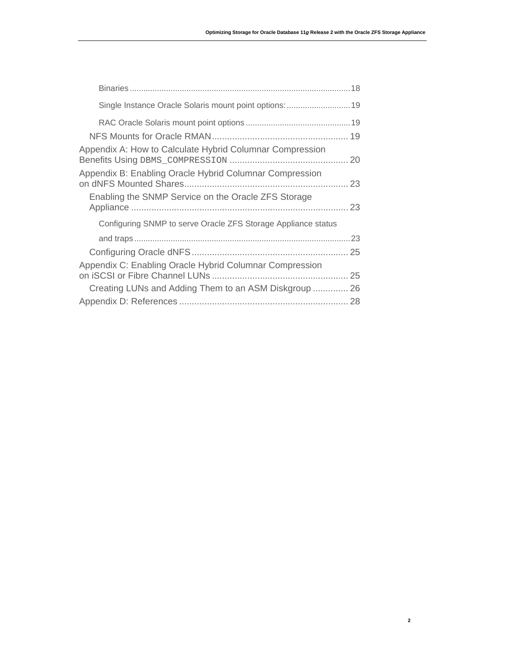**2**

| Appendix A: How to Calculate Hybrid Columnar Compression      |  |
|---------------------------------------------------------------|--|
| Appendix B: Enabling Oracle Hybrid Columnar Compression       |  |
| Enabling the SNMP Service on the Oracle ZFS Storage           |  |
| Configuring SNMP to serve Oracle ZFS Storage Appliance status |  |
|                                                               |  |
|                                                               |  |
| Appendix C: Enabling Oracle Hybrid Columnar Compression       |  |
| Creating LUNs and Adding Them to an ASM Diskgroup  26         |  |
|                                                               |  |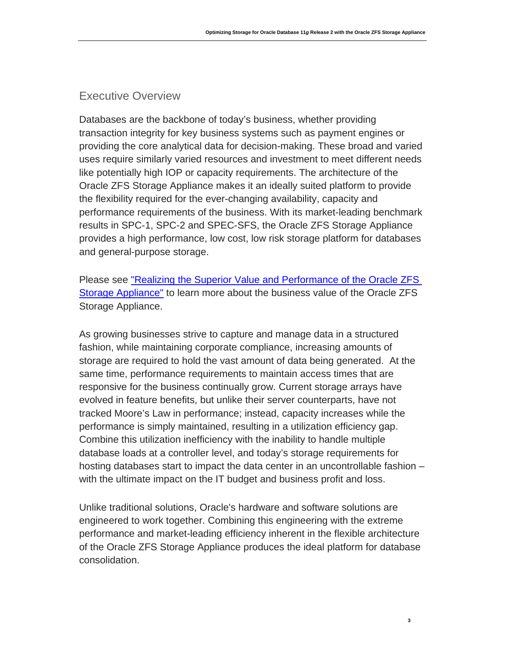# Executive Overview

Databases are the backbone of today's business, whether providing transaction integrity for key business systems such as payment engines or providing the core analytical data for decision-making. These broad and varied uses require similarly varied resources and investment to meet different needs like potentially high IOP or capacity requirements. The architecture of the Oracle ZFS Storage Appliance makes it an ideally suited platform to provide the flexibility required for the ever-changing availability, capacity and performance requirements of the business. With its market-leading benchmark results in SPC-1, SPC-2 and SPEC-SFS, the Oracle ZFS Storage Appliance provides a high performance, low cost, low risk storage platform for databases and general-purpose storage.

Please see ["Realizing the Superior Value and Performance of the Oracle ZFS](http://www.oracle.com/us/products/servers-storage/storage/nas/resources/zfs-sa-businessvaluewp-final-1845658.pdf)  [Storage Appliance"](http://www.oracle.com/us/products/servers-storage/storage/nas/resources/zfs-sa-businessvaluewp-final-1845658.pdf) to learn more about the business value of the Oracle ZFS Storage Appliance.

As growing businesses strive to capture and manage data in a structured fashion, while maintaining corporate compliance, increasing amounts of storage are required to hold the vast amount of data being generated. At the same time, performance requirements to maintain access times that are responsive for the business continually grow. Current storage arrays have evolved in feature benefits, but unlike their server counterparts, have not tracked Moore's Law in performance; instead, capacity increases while the performance is simply maintained, resulting in a utilization efficiency gap. Combine this utilization inefficiency with the inability to handle multiple database loads at a controller level, and today's storage requirements for hosting databases start to impact the data center in an uncontrollable fashion – with the ultimate impact on the IT budget and business profit and loss.

Unlike traditional solutions, Oracle's hardware and software solutions are engineered to work together. Combining this engineering with the extreme performance and market-leading efficiency inherent in the flexible architecture of the Oracle ZFS Storage Appliance produces the ideal platform for database consolidation.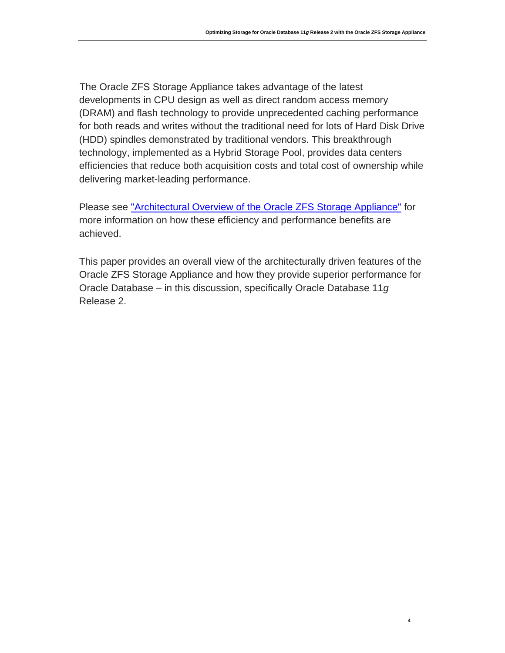**4**

[Th](#page-4-0)e Oracle ZFS Storage Appliance takes advantage of the latest developments in CPU design as well as direct random access memory (DRAM) and flash technology to provide unprecedented caching performance for both reads and writes without the traditional need for lots of Hard Disk Drive (HDD) spindles demonstrated by traditional vendors. This breakthrough technology, implemented as a Hybrid Storage Pool, provides data centers efficiencies that reduce both acquisition costs and total cost of ownership while delivering market-leading performance.

Please see ["Architectural Overview of the Oracle ZFS Storage Appliance"](http://www.oracle.com/technetwork/server-storage/sun-unified-storage/documentation/o14-001-architecture-overview-zfsa-2099942.pdf) for more information on how these efficiency and performance benefits are achieved.

<span id="page-4-0"></span>This paper provides an overall view of the architecturally driven features of the Oracle ZFS Storage Appliance and how they provide superior performance for Oracle Database – in this discussion, specifically Oracle Database 11*g* Release 2.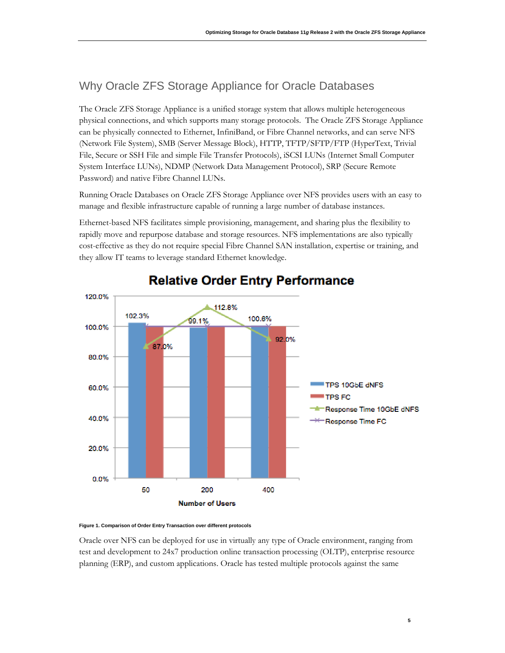# Why Oracle ZFS Storage Appliance for Oracle Databases

The Oracle ZFS Storage Appliance is a unified storage system that allows multiple heterogeneous physical connections, and which supports many storage protocols. The Oracle ZFS Storage Appliance can be physically connected to Ethernet, InfiniBand, or Fibre Channel networks, and can serve NFS (Network File System), SMB (Server Message Block), HTTP, TFTP/SFTP/FTP (HyperText, Trivial File, Secure or SSH File and simple File Transfer Protocols), iSCSI LUNs (Internet Small Computer System Interface LUNs), NDMP (Network Data Management Protocol), SRP (Secure Remote Password) and native Fibre Channel LUNs.

Running Oracle Databases on Oracle ZFS Storage Appliance over NFS provides users with an easy to manage and flexible infrastructure capable of running a large number of database instances.

Ethernet-based NFS facilitates simple provisioning, management, and sharing plus the flexibility to rapidly move and repurpose database and storage resources. NFS implementations are also typically cost-effective as they do not require special Fibre Channel SAN installation, expertise or training, and they allow IT teams to leverage standard Ethernet knowledge.



# **Relative Order Entry Performance**

#### **Figure 1. Comparison of Order Entry Transaction over different protocols**

Oracle over NFS can be deployed for use in virtually any type of Oracle environment, ranging from test and development to 24x7 production online transaction processing (OLTP), enterprise resource planning (ERP), and custom applications. Oracle has tested multiple protocols against the same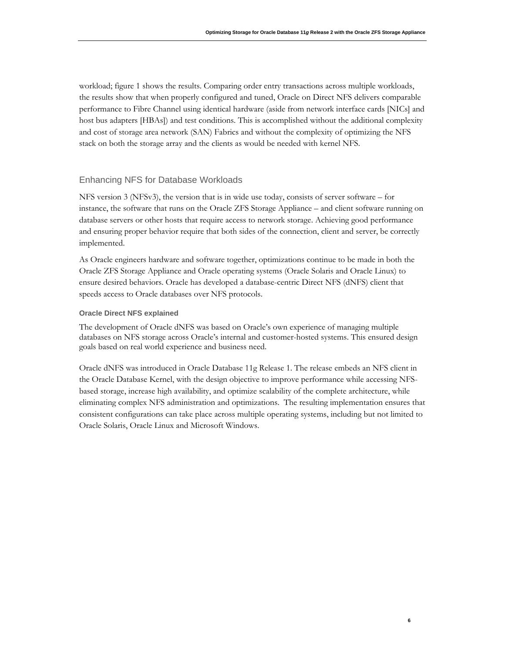workload; figure 1 shows the results. Comparing order entry transactions across multiple workloads, the results show that when properly configured and tuned, Oracle on Direct NFS delivers comparable performance to Fibre Channel using identical hardware (aside from network interface cards [NICs] and host bus adapters [HBAs]) and test conditions. This is accomplished without the additional complexity and cost of storage area network (SAN) Fabrics and without the complexity of optimizing the NFS stack on both the storage array and the clients as would be needed with kernel NFS.

### Enhancing NFS for Database Workloads

NFS version 3 (NFSv3), the version that is in wide use today, consists of server software – for instance, the software that runs on the Oracle ZFS Storage Appliance – and client software running on database servers or other hosts that require access to network storage. Achieving good performance and ensuring proper behavior require that both sides of the connection, client and server, be correctly implemented.

As Oracle engineers hardware and software together, optimizations continue to be made in both the Oracle ZFS Storage Appliance and Oracle operating systems (Oracle Solaris and Oracle Linux) to ensure desired behaviors. Oracle has developed a database-centric Direct NFS (dNFS) client that speeds access to Oracle databases over NFS protocols.

### **Oracle Direct NFS explained**

The development of Oracle dNFS was based on Oracle's own experience of managing multiple databases on NFS storage across Oracle's internal and customer-hosted systems. This ensured design goals based on real world experience and business need.

Oracle dNFS was introduced in Oracle Database 11g Release 1. The release embeds an NFS client in the Oracle Database Kernel, with the design objective to improve performance while accessing NFSbased storage, increase high availability, and optimize scalability of the complete architecture, while eliminating complex NFS administration and optimizations. The resulting implementation ensures that consistent configurations can take place across multiple operating systems, including but not limited to Oracle Solaris, Oracle Linux and Microsoft Windows.

**6**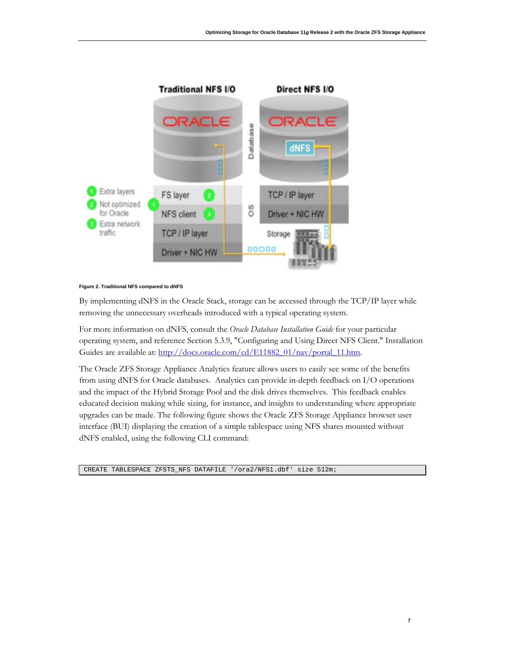

#### **Figure 2. Traditional NFS compared to dNFS**

By implementing dNFS in the Oracle Stack, storage can be accessed through the TCP/IP layer while removing the unnecessary overheads introduced with a typical operating system.

For more information on dNFS, consult the *Oracle Database Installation Guide* for your particular operating system, and reference Section 5.3.9, "Configuring and Using Direct NFS Client." Installation Guides are available at: [http://docs.oracle.com/cd/E11882\\_01/nav/portal\\_11.htm.](http://docs.oracle.com/cd/E11882_01/nav/portal_11.htm)

The Oracle ZFS Storage Appliance Analytics feature allows users to easily see some of the benefits from using dNFS for Oracle databases. Analytics can provide in-depth feedback on I/O operations and the impact of the Hybrid Storage Pool and the disk drives themselves. This feedback enables educated decision making while sizing, for instance, and insights to understanding where appropriate upgrades can be made. The following figure shows the Oracle ZFS Storage Appliance browser user interface (BUI) displaying the creation of a simple tablespace using NFS shares mounted without dNFS enabled, using the following CLI command:

CREATE TABLESPACE ZFSTS\_NFS DATAFILE '/ora2/NFS1.dbf' size 512m;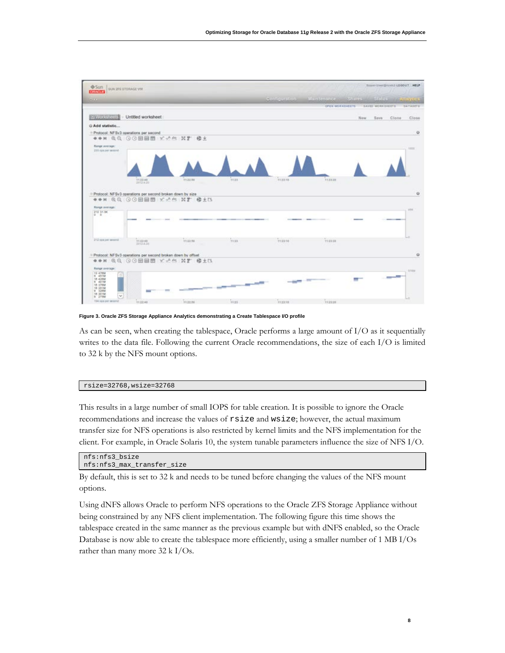

**Figure 3. Oracle ZFS Storage Appliance Analytics demonstrating a Create Tablespace I/O profile**

As can be seen, when creating the tablespace, Oracle performs a large amount of I/O as it sequentially writes to the data file. Following the current Oracle recommendations, the size of each I/O is limited to 32 k by the NFS mount options.

#### rsize=32768,wsize=32768

This results in a large number of small IOPS for table creation. It is possible to ignore the Oracle recommendations and increase the values of rsize and wsize; however, the actual maximum transfer size for NFS operations is also restricted by kernel limits and the NFS implementation for the client. For example, in Oracle Solaris 10, the system tunable parameters influence the size of NFS I/O.

```
nfs:nfs3_bsize 
nfs:nfs3_max_transfer_size
```
By default, this is set to 32 k and needs to be tuned before changing the values of the NFS mount options.

Using dNFS allows Oracle to perform NFS operations to the Oracle ZFS Storage Appliance without being constrained by any NFS client implementation. The following figure this time shows the tablespace created in the same manner as the previous example but with dNFS enabled, so the Oracle Database is now able to create the tablespace more efficiently, using a smaller number of 1 MB I/Os rather than many more 32 k I/Os.

**8**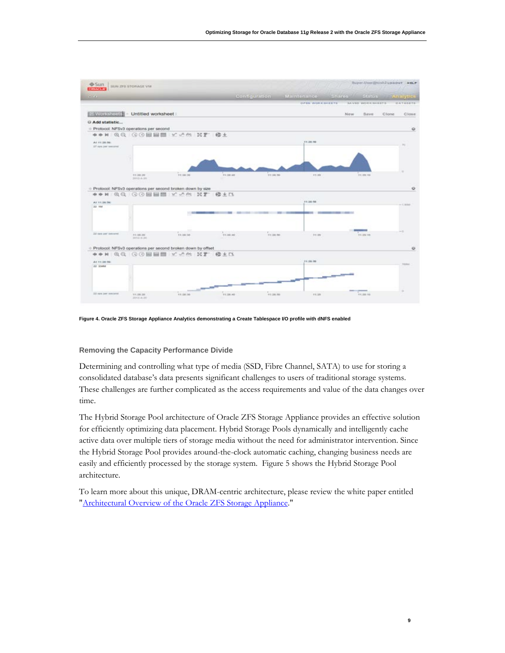

**Figure 4. Oracle ZFS Storage Appliance Analytics demonstrating a Create Tablespace I/O profile with dNFS enabled**

### **Removing the Capacity Performance Divide**

Determining and controlling what type of media (SSD, Fibre Channel, SATA) to use for storing a consolidated database's data presents significant challenges to users of traditional storage systems. These challenges are further complicated as the access requirements and value of the data changes over time.

The Hybrid Storage Pool architecture of Oracle ZFS Storage Appliance provides an effective solution for efficiently optimizing data placement. Hybrid Storage Pools dynamically and intelligently cache active data over multiple tiers of storage media without the need for administrator intervention. Since the Hybrid Storage Pool provides around-the-clock automatic caching, changing business needs are easily and efficiently processed by the storage system. Figure 5 shows the Hybrid Storage Pool architecture.

To learn more about this unique, DRAM-centric architecture, please review the white paper entitled ["Architectural Overview of the Oracle ZFS Storage Appliance.](http://www.oracle.com/technetwork/server-storage/sun-unified-storage/documentation/o14-001-architecture-overview-zfsa-2099942.pdf)"

**9**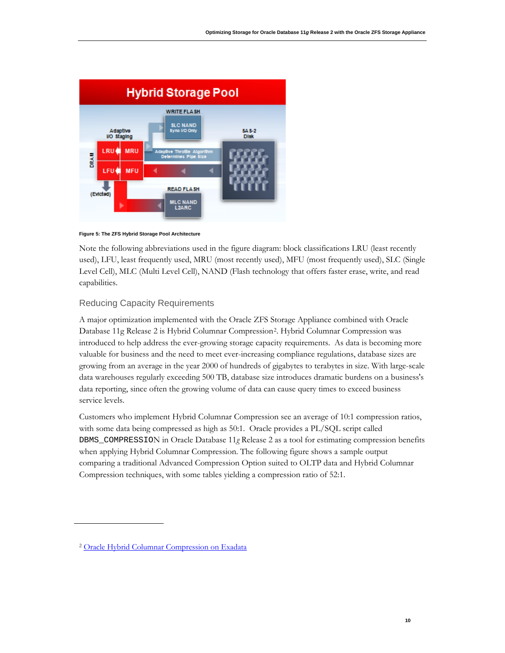



Note the following abbreviations used in the figure diagram: block classifications LRU (least recently used), LFU, least frequently used, MRU (most recently used), MFU (most frequently used), SLC (Single Level Cell), MLC (Multi Level Cell), NAND (Flash technology that offers faster erase, write, and read capabilities.

### Reducing Capacity Requirements

A major optimization implemented with the Oracle ZFS Storage Appliance combined with Oracle Database 11g Release 2 is Hybrid Columnar Compression[2](#page-10-0). Hybrid Columnar Compression was introduced to help address the ever-growing storage capacity requirements. As data is becoming more valuable for business and the need to meet ever-increasing compliance regulations, database sizes are growing from an average in the year 2000 of hundreds of gigabytes to terabytes in size. With large-scale data warehouses regularly exceeding 500 TB, database size introduces dramatic burdens on a business's data reporting, since often the growing volume of data can cause query times to exceed business service levels.

Customers who implement Hybrid Columnar Compression see an average of 10:1 compression ratios, with some data being compressed as high as 50:1. Oracle provides a PL/SQL script called DBMS\_COMPRESSION in Oracle Database 11*g* Release 2 as a tool for estimating compression benefits when applying Hybrid Columnar Compression. The following figure shows a sample output comparing a traditional Advanced Compression Option suited to OLTP data and Hybrid Columnar Compression techniques, with some tables yielding a compression ratio of 52:1.

<span id="page-10-0"></span><sup>2</sup> [Oracle Hybrid Columnar Compression on Exadata](http://www.google.co.uk/url?sa=t&rct=j&q=oracle%20hcc&source=web&cd=1&ved=0CCwQFjAA&url=http%3A%2F%2Fwww.oracle.com%2Ftechnetwork%2Fmiddleware%2Fbi-foundation%2Fehcc-twp-131254.pdf&ei=Ns9XT6fDL8zf8QPzyJSVDw&usg=AFQjCNEgZbj7q9J4cA3BDITV4dByXv4iUw)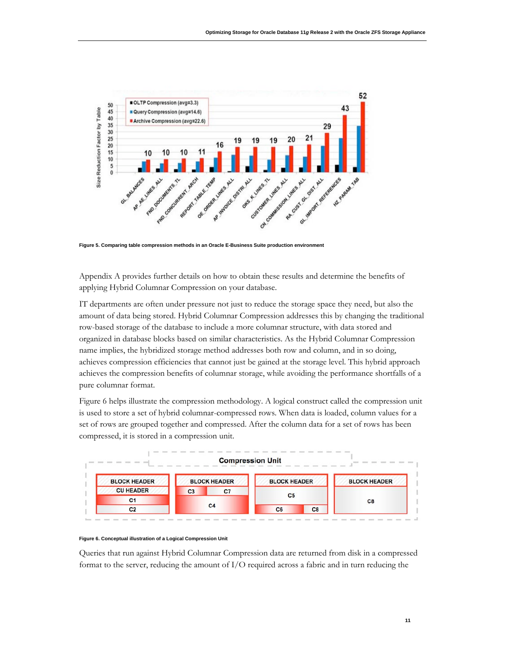

**Figure 5. Comparing table compression methods in an Oracle E-Business Suite production environment**

Appendix A provides further details on how to obtain these results and determine the benefits of applying Hybrid Columnar Compression on your database.

IT departments are often under pressure not just to reduce the storage space they need, but also the amount of data being stored. Hybrid Columnar Compression addresses this by changing the traditional row-based storage of the database to include a more columnar structure, with data stored and organized in database blocks based on similar characteristics. As the Hybrid Columnar Compression name implies, the hybridized storage method addresses both row and column, and in so doing, achieves compression efficiencies that cannot just be gained at the storage level. This hybrid approach achieves the compression benefits of columnar storage, while avoiding the performance shortfalls of a pure columnar format.

Figure 6 helps illustrate the compression methodology. A logical construct called the compression unit is used to store a set of hybrid columnar-compressed rows. When data is loaded, column values for a set of rows are grouped together and compressed. After the column data for a set of rows has been compressed, it is stored in a compression unit.





Queries that run against Hybrid Columnar Compression data are returned from disk in a compressed format to the server, reducing the amount of I/O required across a fabric and in turn reducing the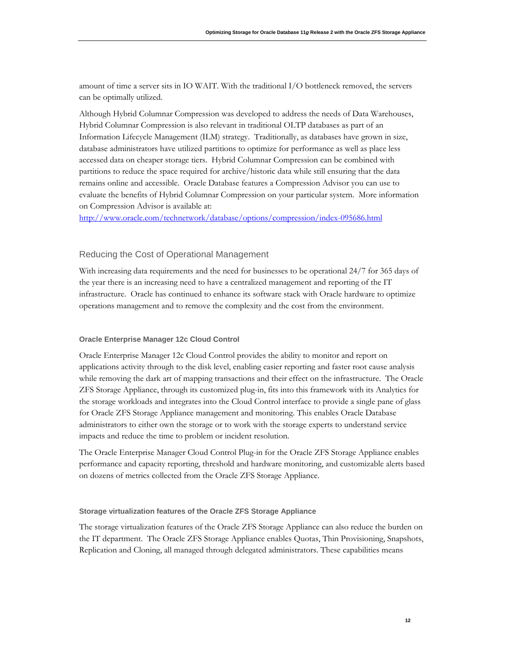amount of time a server sits in IO WAIT. With the traditional I/O bottleneck removed, the servers can be optimally utilized.

Although Hybrid Columnar Compression was developed to address the needs of Data Warehouses, Hybrid Columnar Compression is also relevant in traditional OLTP databases as part of an Information Lifecycle Management (ILM) strategy. Traditionally, as databases have grown in size, database administrators have utilized partitions to optimize for performance as well as place less accessed data on cheaper storage tiers. Hybrid Columnar Compression can be combined with partitions to reduce the space required for archive/historic data while still ensuring that the data remains online and accessible. Oracle Database features a Compression Advisor you can use to evaluate the benefits of Hybrid Columnar Compression on your particular system. More information on Compression Advisor is available at:

<http://www.oracle.com/technetwork/database/options/compression/index-095686.html>

## Reducing the Cost of Operational Management

With increasing data requirements and the need for businesses to be operational 24/7 for 365 days of the year there is an increasing need to have a centralized management and reporting of the IT infrastructure. Oracle has continued to enhance its software stack with Oracle hardware to optimize operations management and to remove the complexity and the cost from the environment.

### **Oracle Enterprise Manager 12c Cloud Control**

Oracle Enterprise Manager 12c Cloud Control provides the ability to monitor and report on applications activity through to the disk level, enabling easier reporting and faster root cause analysis while removing the dark art of mapping transactions and their effect on the infrastructure. The Oracle ZFS Storage Appliance, through its customized plug-in, fits into this framework with its Analytics for the storage workloads and integrates into the Cloud Control interface to provide a single pane of glass for Oracle ZFS Storage Appliance management and monitoring. This enables Oracle Database administrators to either own the storage or to work with the storage experts to understand service impacts and reduce the time to problem or incident resolution.

The Oracle Enterprise Manager Cloud Control Plug-in for the Oracle ZFS Storage Appliance enables performance and capacity reporting, threshold and hardware monitoring, and customizable alerts based on dozens of metrics collected from the Oracle ZFS Storage Appliance.

### **Storage virtualization features of the Oracle ZFS Storage Appliance**

The storage virtualization features of the Oracle ZFS Storage Appliance can also reduce the burden on the IT department. The Oracle ZFS Storage Appliance enables Quotas, Thin Provisioning, Snapshots, Replication and Cloning, all managed through delegated administrators. These capabilities means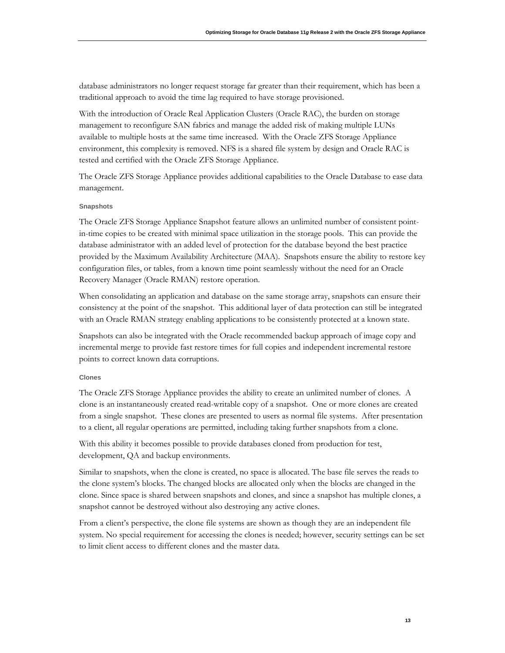database administrators no longer request storage far greater than their requirement, which has been a traditional approach to avoid the time lag required to have storage provisioned.

With the introduction of Oracle Real Application Clusters (Oracle RAC), the burden on storage management to reconfigure SAN fabrics and manage the added risk of making multiple LUNs available to multiple hosts at the same time increased. With the Oracle ZFS Storage Appliance environment, this complexity is removed. NFS is a shared file system by design and Oracle RAC is tested and certified with the Oracle ZFS Storage Appliance.

The Oracle ZFS Storage Appliance provides additional capabilities to the Oracle Database to ease data management.

#### **Snapshots**

The Oracle ZFS Storage Appliance Snapshot feature allows an unlimited number of consistent pointin-time copies to be created with minimal space utilization in the storage pools. This can provide the database administrator with an added level of protection for the database beyond the best practice provided by the Maximum Availability Architecture (MAA). Snapshots ensure the ability to restore key configuration files, or tables, from a known time point seamlessly without the need for an Oracle Recovery Manager (Oracle RMAN) restore operation.

When consolidating an application and database on the same storage array, snapshots can ensure their consistency at the point of the snapshot. This additional layer of data protection can still be integrated with an Oracle RMAN strategy enabling applications to be consistently protected at a known state.

Snapshots can also be integrated with the Oracle recommended backup approach of image copy and incremental merge to provide fast restore times for full copies and independent incremental restore points to correct known data corruptions.

### **Clones**

The Oracle ZFS Storage Appliance provides the ability to create an unlimited number of clones. A clone is an instantaneously created read-writable copy of a snapshot. One or more clones are created from a single snapshot. These clones are presented to users as normal file systems. After presentation to a client, all regular operations are permitted, including taking further snapshots from a clone.

With this ability it becomes possible to provide databases cloned from production for test, development, QA and backup environments.

Similar to snapshots, when the clone is created, no space is allocated. The base file serves the reads to the clone system's blocks. The changed blocks are allocated only when the blocks are changed in the clone. Since space is shared between snapshots and clones, and since a snapshot has multiple clones, a snapshot cannot be destroyed without also destroying any active clones.

From a client's perspective, the clone file systems are shown as though they are an independent file system. No special requirement for accessing the clones is needed; however, security settings can be set to limit client access to different clones and the master data.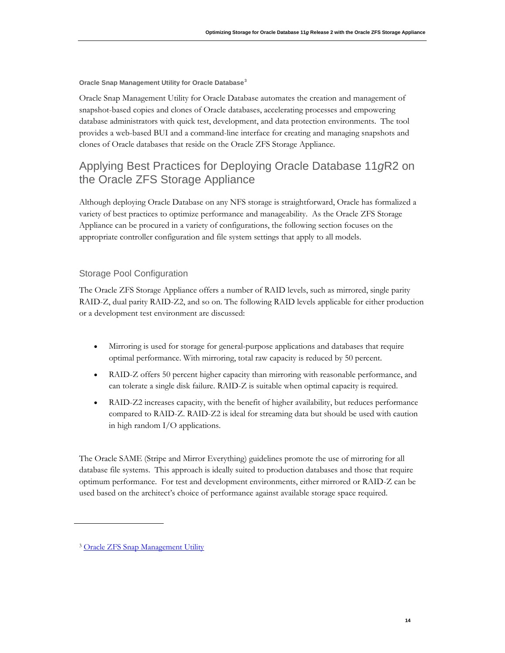**Oracle Snap Management Utility for Oracle Database[3](#page-14-0)**

Oracle Snap Management Utility for Oracle Database automates the creation and management of snapshot-based copies and clones of Oracle databases, accelerating processes and empowering database administrators with quick test, development, and data protection environments. The tool provides a web-based BUI and a command-line interface for creating and managing snapshots and clones of Oracle databases that reside on the Oracle ZFS Storage Appliance.

# Applying Best Practices for Deploying Oracle Database 11*g*R2 on the Oracle ZFS Storage Appliance

Although deploying Oracle Database on any NFS storage is straightforward, Oracle has formalized a variety of best practices to optimize performance and manageability. As the Oracle ZFS Storage Appliance can be procured in a variety of configurations, the following section focuses on the appropriate controller configuration and file system settings that apply to all models.

## Storage Pool Configuration

The Oracle ZFS Storage Appliance offers a number of RAID levels, such as mirrored, single parity RAID-Z, dual parity RAID-Z2, and so on. The following RAID levels applicable for either production or a development test environment are discussed:

- Mirroring is used for storage for general-purpose applications and databases that require optimal performance. With mirroring, total raw capacity is reduced by 50 percent.
- RAID-Z offers 50 percent higher capacity than mirroring with reasonable performance, and can tolerate a single disk failure. RAID-Z is suitable when optimal capacity is required.
- RAID-Z2 increases capacity, with the benefit of higher availability, but reduces performance compared to RAID-Z. RAID-Z2 is ideal for streaming data but should be used with caution in high random I/O applications.

The Oracle SAME (Stripe and Mirror Everything) guidelines promote the use of mirroring for all database file systems. This approach is ideally suited to production databases and those that require optimum performance. For test and development environments, either mirrored or RAID-Z can be used based on the architect's choice of performance against available storage space required.

<span id="page-14-0"></span><sup>&</sup>lt;sup>3</sup> [Oracle ZFS Snap Management Utility](http://www.oracle.com/us/products/servers-storage/storage/nas/snap/overview/index.html?ssSourceSiteId=ocomtr)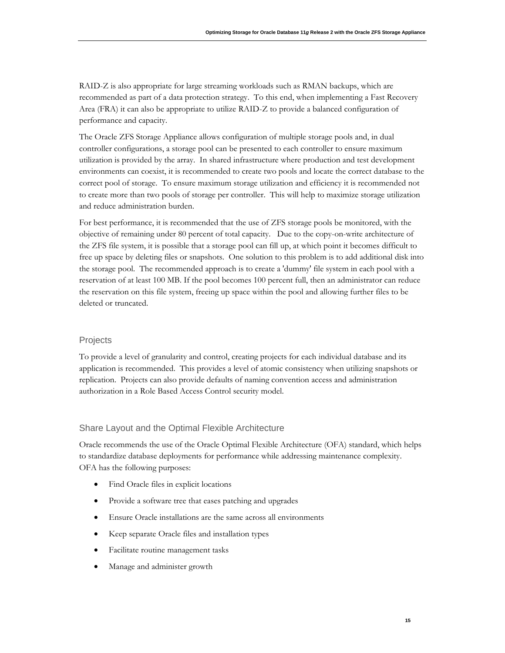RAID-Z is also appropriate for large streaming workloads such as RMAN backups, which are recommended as part of a data protection strategy. To this end, when implementing a Fast Recovery Area (FRA) it can also be appropriate to utilize RAID-Z to provide a balanced configuration of performance and capacity.

The Oracle ZFS Storage Appliance allows configuration of multiple storage pools and, in dual controller configurations, a storage pool can be presented to each controller to ensure maximum utilization is provided by the array. In shared infrastructure where production and test development environments can coexist, it is recommended to create two pools and locate the correct database to the correct pool of storage. To ensure maximum storage utilization and efficiency it is recommended not to create more than two pools of storage per controller. This will help to maximize storage utilization and reduce administration burden.

For best performance, it is recommended that the use of ZFS storage pools be monitored, with the objective of remaining under 80 percent of total capacity. Due to the copy-on-write architecture of the ZFS file system, it is possible that a storage pool can fill up, at which point it becomes difficult to free up space by deleting files or snapshots. One solution to this problem is to add additional disk into the storage pool. The recommended approach is to create a 'dummy' file system in each pool with a reservation of at least 100 MB. If the pool becomes 100 percent full, then an administrator can reduce the reservation on this file system, freeing up space within the pool and allowing further files to be deleted or truncated.

## Projects

To provide a level of granularity and control, creating projects for each individual database and its application is recommended. This provides a level of atomic consistency when utilizing snapshots or replication. Projects can also provide defaults of naming convention access and administration authorization in a Role Based Access Control security model.

## Share Layout and the Optimal Flexible Architecture

Oracle recommends the use of the Oracle Optimal Flexible Architecture (OFA) standard, which helps to standardize database deployments for performance while addressing maintenance complexity. OFA has the following purposes:

- Find Oracle files in explicit locations
- Provide a software tree that eases patching and upgrades
- Ensure Oracle installations are the same across all environments
- Keep separate Oracle files and installation types
- Facilitate routine management tasks
- Manage and administer growth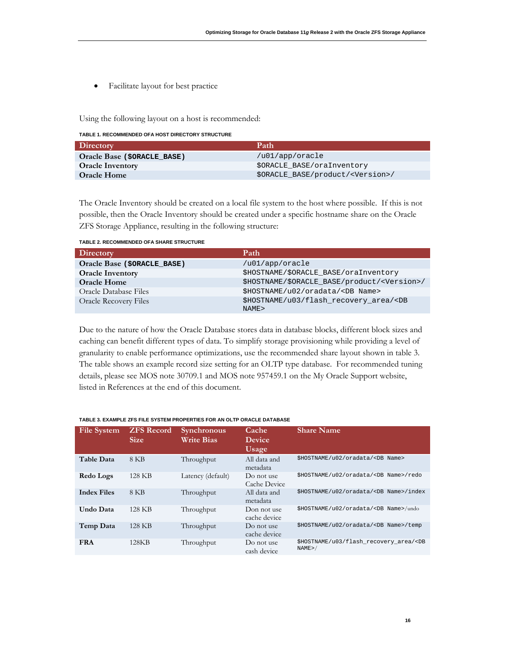• Facilitate layout for best practice

Using the following layout on a host is recommended:

**TABLE 1. RECOMMENDED OFA HOST DIRECTORY STRUCTURE**

| <b>Directory</b>            | Path                                        |
|-----------------------------|---------------------------------------------|
| Oracle Base (\$ORACLE BASE) | /u01/app/oracle                             |
| <b>Oracle Inventory</b>     | SORACLE BASE/oraInventory                   |
| <b>Oracle Home</b>          | \$ORACLE BASE/product/ <version>/</version> |

The Oracle Inventory should be created on a local file system to the host where possible. If this is not possible, then the Oracle Inventory should be created under a specific hostname share on the Oracle ZFS Storage Appliance, resulting in the following structure:

**TABLE 2. RECOMMENDED OFA SHARE STRUCTURE**

| <b>Directory</b>             | Path                                                        |
|------------------------------|-------------------------------------------------------------|
| Oracle Base (\$ORACLE BASE)  | /u01/app/oracle                                             |
| <b>Oracle Inventory</b>      | \$HOSTNAME/\$ORACLE BASE/oraInventory                       |
| <b>Oracle Home</b>           | \$HOSTNAME/\$ORACLE_BASE/product/ <version>/</version>      |
| Oracle Database Files        | \$HOSTNAME/u02/oradata/ <db name=""></db>                   |
| <b>Oracle Recovery Files</b> | \$HOSTNAME/u03/flash_recovery_area/ <db<br>NAME&gt;</db<br> |

Due to the nature of how the Oracle Database stores data in database blocks, different block sizes and caching can benefit different types of data. To simplify storage provisioning while providing a level of granularity to enable performance optimizations, use the recommended share layout shown in table 3. The table shows an example record size setting for an OLTP type database. For recommended tuning details, please see MOS note 30709.1 and MOS note 957459.1 on the My Oracle Support website, listed in References at the end of this document.

| <b>File System</b> | <b>ZFS Record</b><br><b>Size</b> | <b>Synchronous</b><br><b>Write Bias</b> | Cache<br><b>Device</b><br>Usage | <b>Share Name</b>                                       |
|--------------------|----------------------------------|-----------------------------------------|---------------------------------|---------------------------------------------------------|
| <b>Table Data</b>  | 8 KB                             | Throughput                              | All data and<br>metadata        | \$HOSTNAME/u02/oradata/ <db name=""></db>               |
| Redo Logs          | 128 KB                           | Latency (default)                       | Do not use<br>Cache Device      | \$HOSTNAME/u02/oradata/ <db name="">/redo</db>          |
| <b>Index Files</b> | 8 KB                             | Throughput                              | All data and<br>metadata        | \$HOSTNAME/u02/oradata/ <db name="">/index</db>         |
| Undo Data          | 128 KB                           | Throughput                              | Don not use<br>cache device     | \$HOSTNAME/u02/oradata/ <db name="">/undo</db>          |
| Temp Data          | 128 KB                           | Throughput                              | Do not use<br>cache device      | \$HOSTNAME/u02/oradata/ <db name="">/temp</db>          |
| <b>FRA</b>         | 128KB                            | Throughput                              | Do not use<br>cash device       | \$HOSTNAME/u03/flash recovery area/ <db<br>NAME</db<br> |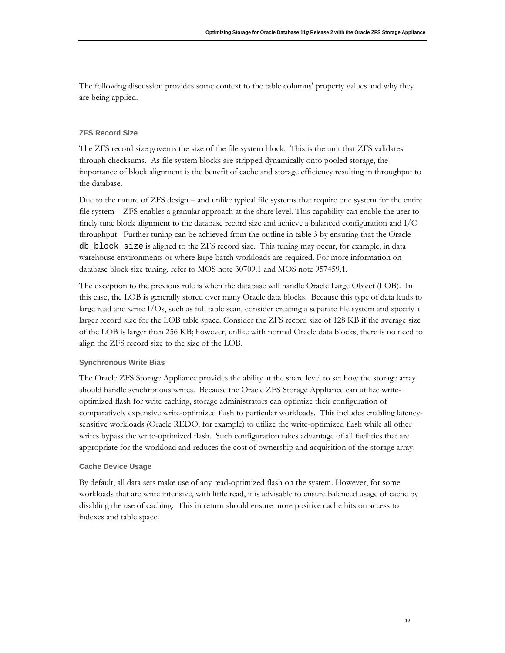The following discussion provides some context to the table columns' property values and why they are being applied.

### **ZFS Record Size**

The ZFS record size governs the size of the file system block. This is the unit that ZFS validates through checksums. As file system blocks are stripped dynamically onto pooled storage, the importance of block alignment is the benefit of cache and storage efficiency resulting in throughput to the database.

Due to the nature of ZFS design – and unlike typical file systems that require one system for the entire file system – ZFS enables a granular approach at the share level. This capability can enable the user to finely tune block alignment to the database record size and achieve a balanced configuration and I/O throughput. Further tuning can be achieved from the outline in table 3 by ensuring that the Oracle db\_block\_size is aligned to the ZFS record size. This tuning may occur, for example, in data warehouse environments or where large batch workloads are required. For more information on database block size tuning, refer to MOS note 30709.1 and MOS note 957459.1.

The exception to the previous rule is when the database will handle Oracle Large Object (LOB). In this case, the LOB is generally stored over many Oracle data blocks. Because this type of data leads to large read and write I/Os, such as full table scan, consider creating a separate file system and specify a larger record size for the LOB table space. Consider the ZFS record size of 128 KB if the average size of the LOB is larger than 256 KB; however, unlike with normal Oracle data blocks, there is no need to align the ZFS record size to the size of the LOB.

### **Synchronous Write Bias**

The Oracle ZFS Storage Appliance provides the ability at the share level to set how the storage array should handle synchronous writes. Because the Oracle ZFS Storage Appliance can utilize writeoptimized flash for write caching, storage administrators can optimize their configuration of comparatively expensive write-optimized flash to particular workloads. This includes enabling latencysensitive workloads (Oracle REDO, for example) to utilize the write-optimized flash while all other writes bypass the write-optimized flash. Such configuration takes advantage of all facilities that are appropriate for the workload and reduces the cost of ownership and acquisition of the storage array.

#### **Cache Device Usage**

By default, all data sets make use of any read-optimized flash on the system. However, for some workloads that are write intensive, with little read, it is advisable to ensure balanced usage of cache by disabling the use of caching. This in return should ensure more positive cache hits on access to indexes and table space.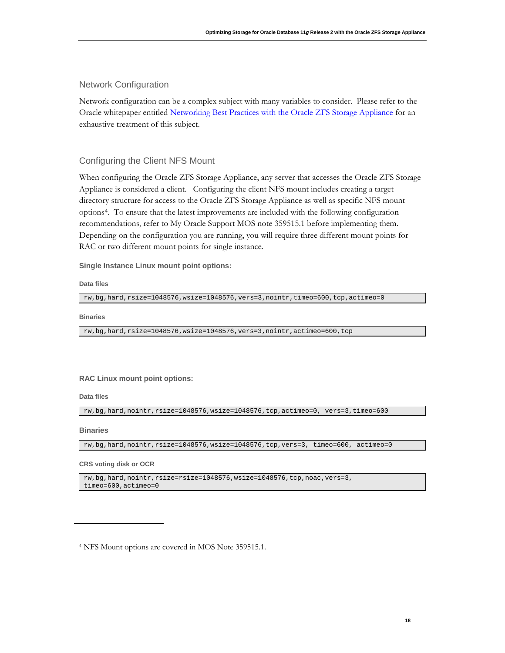## Network Configuration

Network configuration can be a complex subject with many variables to consider. Please refer to the Oracle whitepaper entitled [Networking Best Practices with the Oracle ZFS Storage Appliance](http://www.oracle.com/technetwork/server-storage/sun-unified-storage/documentation/networking-bestprac-zfssa-2215767.pdf) for an exhaustive treatment of this subject.

## Configuring the Client NFS Mount

When configuring the Oracle ZFS Storage Appliance, any server that accesses the Oracle ZFS Storage Appliance is considered a client. Configuring the client NFS mount includes creating a target directory structure for access to the Oracle ZFS Storage Appliance as well as specific NFS mount options[4.](#page-18-0) To ensure that the latest improvements are included with the following configuration recommendations, refer to My Oracle Support MOS note 359515.1 before implementing them. Depending on the configuration you are running, you will require three different mount points for RAC or two different mount points for single instance.

**Single Instance Linux mount point options:**

**Data files**

rw,bg,hard,rsize=1048576,wsize=1048576,vers=3,nointr,timeo=600,tcp,actimeo=0

**Binaries**

rw,bg,hard,rsize=1048576,wsize=1048576,vers=3,nointr,actimeo=600,tcp

#### **RAC Linux mount point options:**

**Data files**

rw,bg,hard,nointr,rsize=1048576,wsize=1048576,tcp,actimeo=0, vers=3,timeo=600

**Binaries**

rw,bg,hard,nointr,rsize=1048576,wsize=1048576,tcp,vers=3, timeo=600, actimeo=0

**CRS voting disk or OCR**

rw,bg,hard,nointr,rsize=rsize=1048576,wsize=1048576,tcp,noac,vers=3, timeo=600,actimeo=0

<span id="page-18-0"></span><sup>4</sup> NFS Mount options are covered in MOS Note 359515.1.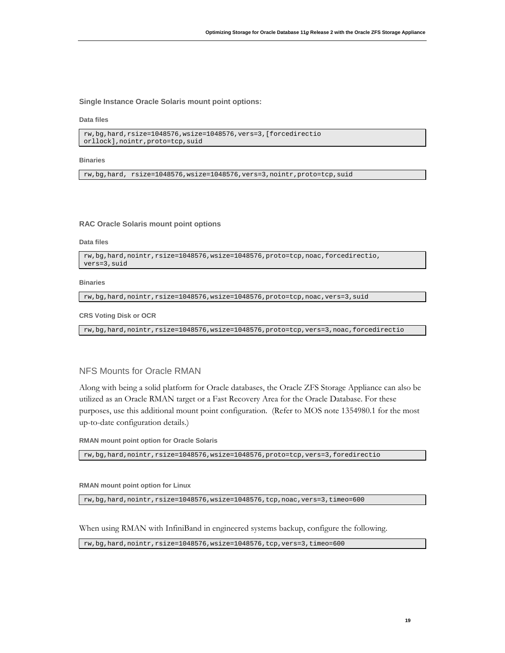**Single Instance Oracle Solaris mount point options:**

**Data files**

```
rw,bg,hard,rsize=1048576,wsize=1048576,vers=3,[forcedirectio
orllock],nointr,proto=tcp,suid
```
**Binaries**

rw,bg,hard, rsize=1048576,wsize=1048576,vers=3,nointr,proto=tcp,suid

#### **RAC Oracle Solaris mount point options**

**Data files**

```
rw,bg,hard,nointr,rsize=1048576,wsize=1048576,proto=tcp,noac,forcedirectio, 
vers=3,suid
```
#### **Binaries**

rw,bg,hard,nointr,rsize=1048576,wsize=1048576,proto=tcp,noac,vers=3,suid

#### **CRS Voting Disk or OCR**

rw,bg,hard,nointr,rsize=1048576,wsize=1048576,proto=tcp,vers=3,noac,forcedirectio

## NFS Mounts for Oracle RMAN

Along with being a solid platform for Oracle databases, the Oracle ZFS Storage Appliance can also be utilized as an Oracle RMAN target or a Fast Recovery Area for the Oracle Database. For these purposes, use this additional mount point configuration. (Refer to MOS note 1354980.1 for the most up-to-date configuration details.)

**RMAN mount point option for Oracle Solaris**

rw,bg,hard,nointr,rsize=1048576,wsize=1048576,proto=tcp,vers=3,foredirectio

**RMAN mount point option for Linux**

rw,bg,hard,nointr,rsize=1048576,wsize=1048576,tcp,noac,vers=3,timeo=600

When using RMAN with InfiniBand in engineered systems backup, configure the following.

rw,bg,hard,nointr,rsize=1048576,wsize=1048576,tcp,vers=3,timeo=600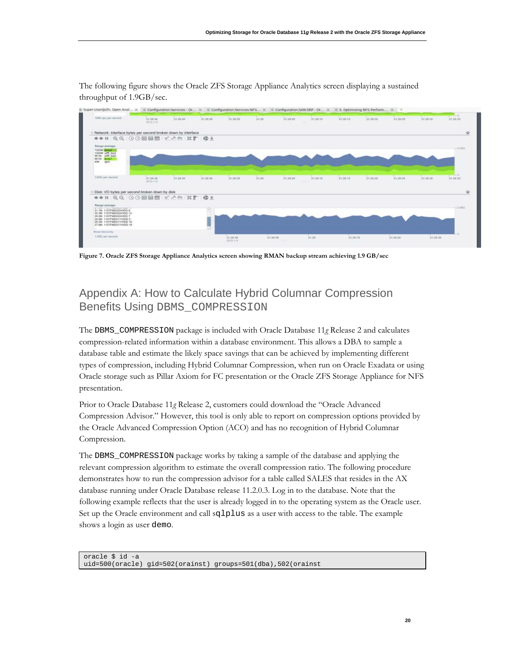The following figure shows the Oracle ZFS Storage Appliance Analytics screen displaying a sustained throughput of 1.9GB/sec.



**Figure 7. Oracle ZFS Storage Appliance Analytics screen showing RMAN backup stream achieving 1.9 GB/sec**

# Appendix A: How to Calculate Hybrid Columnar Compression Benefits Using DBMS\_COMPRESSION

The DBMS\_COMPRESSION package is included with Oracle Database 11*g* Release 2 and calculates compression-related information within a database environment. This allows a DBA to sample a database table and estimate the likely space savings that can be achieved by implementing different types of compression, including Hybrid Columnar Compression, when run on Oracle Exadata or using Oracle storage such as Pillar Axiom for FC presentation or the Oracle ZFS Storage Appliance for NFS presentation.

Prior to Oracle Database 11*g* Release 2, customers could download the "Oracle Advanced Compression Advisor." However, this tool is only able to report on compression options provided by the Oracle Advanced Compression Option (ACO) and has no recognition of Hybrid Columnar Compression.

The DBMS\_COMPRESSION package works by taking a sample of the database and applying the relevant compression algorithm to estimate the overall compression ratio. The following procedure demonstrates how to run the compression advisor for a table called SALES that resides in the AX database running under Oracle Database release 11.2.0.3. Log in to the database. Note that the following example reflects that the user is already logged in to the operating system as the Oracle user. Set up the Oracle environment and call sqlplus as a user with access to the table. The example shows a login as user demo.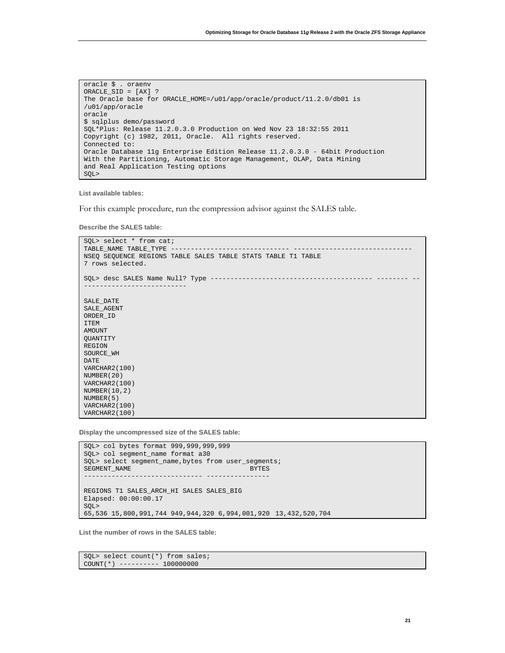```
oracle $ . oraenv
ORACLE_SID = [AX] ?
The Oracle base for ORACLE_HOME=/u01/app/oracle/product/11.2.0/db01 is 
/u01/app/oracle
oracle
$ sqlplus demo/password
SQL*Plus: Release 11.2.0.3.0 Production on Wed Nov 23 18:32:55 2011
Copyright (c) 1982, 2011, Oracle. All rights reserved.
Connected to:
Oracle Database 11g Enterprise Edition Release 11.2.0.3.0 - 64bit Production
With the Partitioning, Automatic Storage Management, OLAP, Data Mining
and Real Application Testing options
SQL>
```
**List available tables:**

For this example procedure, run the compression advisor against the SALES table.

**Describe the SALES table:**

```
SQL> select * from cat;
TABLE_NAME TABLE_TYPE --
NSEQ SEQUENCE REGIONS TABLE SALES TABLE STATS TABLE T1 TABLE
7 rows selected.
SQL> desc SALES Name Null? Type ----------------------------------------- -------- --
--------------------------
SALE_DATE
SALE_AGENT
ORDER_ID
ITEM
AMOUNT
QUANTITY
REGION
SOURCE_WH
DATE
VARCHAR2(100)
NUMBER(20)
VARCHAR2(100)
NUMBER(10,2)
NUMBER(5)
VARCHAR2(100)
VARCHAR2(100)
```
**Display the uncompressed size of the SALES table:**

```
SQL> col bytes format 999,999,999,999
SQL> col segment_name format a30
SQL> select segment_name,bytes from user_segments;
SEGMENT_NAME
            ------------------------------ ----------------
REGIONS T1 SALES_ARCH_HI SALES SALES_BIG
Elapsed: 00:00:00.17
SQL>
65,536 15,800,991,744 949,944,320 6,994,001,920 13,432,520,704
```
**List the number of rows in the SALES table:**

SQL> select count(\*) from sales; COUNT(\*) ---------- 100000000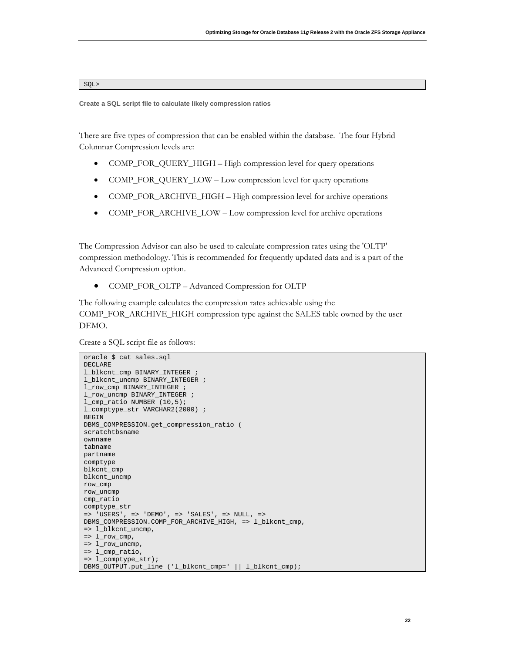#### SQL>

**Create a SQL script file to calculate likely compression ratios**

There are five types of compression that can be enabled within the database. The four Hybrid Columnar Compression levels are:

- COMP\_FOR\_QUERY\_HIGH High compression level for query operations
- COMP\_FOR\_QUERY\_LOW Low compression level for query operations
- COMP\_FOR\_ARCHIVE\_HIGH High compression level for archive operations
- COMP\_FOR\_ARCHIVE\_LOW Low compression level for archive operations

The Compression Advisor can also be used to calculate compression rates using the 'OLTP' compression methodology. This is recommended for frequently updated data and is a part of the Advanced Compression option.

• COMP\_FOR\_OLTP – Advanced Compression for OLTP

The following example calculates the compression rates achievable using the COMP\_FOR\_ARCHIVE\_HIGH compression type against the SALES table owned by the user DEMO.

Create a SQL script file as follows:

```
oracle $ cat sales.sql
DECLARE
l_blkcnt_cmp BINARY_INTEGER ;
l_blkcnt_uncmp BINARY_INTEGER ;
l_row_cmp BINARY_INTEGER ;
l_row_uncmp BINARY_INTEGER ;
l_cmp_ratio NUMBER (10,5);
l_comptype_str VARCHAR2(2000) ;
BEGIN
DBMS_COMPRESSION.get_compression_ratio (
scratchtbsname
ownname
tabname
partname
comptype
blkcnt_cmp
blkcnt_uncmp
row_cmp
row_uncmp
cmp_ratio
comptype_str
=> 'USERS', => 'DEMO', => 'SALES', => NULL, => 
DBMS_COMPRESSION.COMP_FOR_ARCHIVE_HIGH, => l_blkcnt_cmp,
=> l_blkcnt_uncmp,
\Rightarrow l\_row\_cmp,
=> l_row_uncmp,
=> l_cmp_ratio,
=> l_comptype_str);
DBMS_OUTPUT.put_line ('l_blkcnt_cmp=' || l_blkcnt_cmp);
```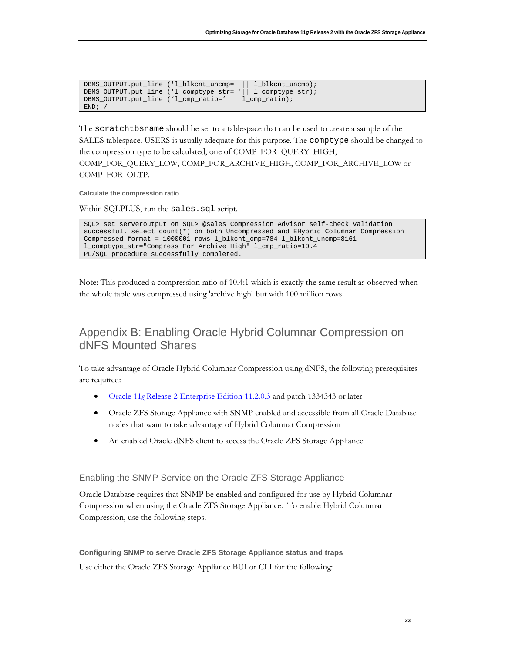| DBMS_OUTPUT.put_line ('l_blkcnt_uncmp='    l_blkcnt_uncmp); |  |
|-------------------------------------------------------------|--|
| DBMS_OUTPUT.put_line ('l_comptype_str= '   l_comptype_str); |  |
| DBMS_OUTPUT.put_line ('l_cmp_ratio='    l_cmp_ratio);       |  |
| END                                                         |  |

The scratchtbsname should be set to a tablespace that can be used to create a sample of the SALES tablespace. USERS is usually adequate for this purpose. The comptype should be changed to the compression type to be calculated, one of COMP\_FOR\_QUERY\_HIGH, COMP\_FOR\_QUERY\_LOW, COMP\_FOR\_ARCHIVE\_HIGH, COMP\_FOR\_ARCHIVE\_LOW or COMP\_FOR\_OLTP.

**Calculate the compression ratio**

Within SQLPLUS, run the sales.sql script.

```
SQL> set serveroutput on SQL> @sales Compression Advisor self-check validation 
successful. select count(*) on both Uncompressed and EHybrid Columnar Compression
Compressed format = 1000001 rows l_blkcnt_cmp=784 l_blkcnt_uncmp=8161 
l_comptype_str="Compress For Archive High" l_cmp_ratio=10.4
PL/SQL procedure successfully completed.
```
Note: This produced a compression ratio of 10.4:1 which is exactly the same result as observed when the whole table was compressed using 'archive high' but with 100 million rows.

# Appendix B: Enabling Oracle Hybrid Columnar Compression on dNFS Mounted Shares

To take advantage of Oracle Hybrid Columnar Compression using dNFS, the following prerequisites are required:

- Oracle 11*g* [Release 2 Enterprise Edition 11.2.0.3](http://docs.oracle.com/cd/E11882_01/server.112/e22487/chapter1_11203.htm#sthref42) and patch 1334343 or later
- Oracle ZFS Storage Appliance with SNMP enabled and accessible from all Oracle Database nodes that want to take advantage of Hybrid Columnar Compression
- An enabled Oracle dNFS client to access the Oracle ZFS Storage Appliance

Enabling the SNMP Service on the Oracle ZFS Storage Appliance

Oracle Database requires that SNMP be enabled and configured for use by Hybrid Columnar Compression when using the Oracle ZFS Storage Appliance. To enable Hybrid Columnar Compression, use the following steps.

**Configuring SNMP to serve Oracle ZFS Storage Appliance status and traps** Use either the Oracle ZFS Storage Appliance BUI or CLI for the following: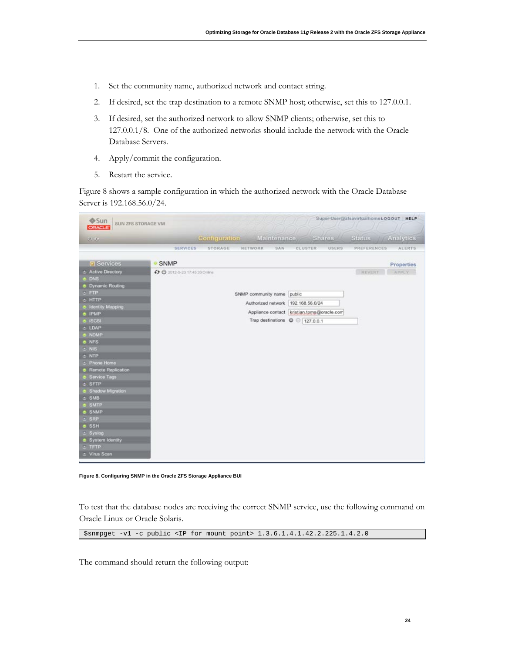- 1. Set the community name, authorized network and contact string.
- 2. If desired, set the trap destination to a remote SNMP host; otherwise, set this to 127.0.0.1.
- 3. If desired, set the authorized network to allow SNMP clients; otherwise, set this to 127.0.0.1/8. One of the authorized networks should include the network with the Oracle Database Servers.
- 4. Apply/commit the configuration.
- 5. Restart the service.

Figure 8 shows a sample configuration in which the authorized network with the Oracle Database Server is 192.168.56.0/24.

| Sun<br>SUN ZFS STORAGE VM<br><b>ORACLE</b>                                                                                                                                                                                                                                                                                                                                                                                                                                              |                               |                      |                                                                                                                                                                           |         |               | Super-User@zfsavirtualhomeLOGOUT HELP |                     |
|-----------------------------------------------------------------------------------------------------------------------------------------------------------------------------------------------------------------------------------------------------------------------------------------------------------------------------------------------------------------------------------------------------------------------------------------------------------------------------------------|-------------------------------|----------------------|---------------------------------------------------------------------------------------------------------------------------------------------------------------------------|---------|---------------|---------------------------------------|---------------------|
| $\mathcal{O}(\mathcal{A},\mathcal{O})$                                                                                                                                                                                                                                                                                                                                                                                                                                                  |                               | <b>Configuration</b> | <b>Maintenance</b>                                                                                                                                                        |         | <b>Shares</b> | <b>Status</b>                         | Analytics           |
|                                                                                                                                                                                                                                                                                                                                                                                                                                                                                         | <b>SERVICES</b>               | STORAGE              | NETWORK<br>SAN                                                                                                                                                            | CLUSTER | USERS         | PREFERENCES                           | ALERTS              |
| <b>El Services</b>                                                                                                                                                                                                                                                                                                                                                                                                                                                                      | <b>SNMP</b>                   |                      |                                                                                                                                                                           |         |               |                                       |                     |
| <b>2</b> Active Directory<br><b>B</b> DNS<br><b>B</b> Dynamic Routing<br>$E$ FTP<br>s HTTP<br><b>&amp; Identity Mapping</b><br><b>B</b> IPMP<br>& iSCSI<br>± LDAP<br><b>6 NDMP</b><br><b>&amp; NFS</b><br>$\varepsilon$ NIS<br>e NTP<br><b>C</b> Phone Home<br><b>B</b> Remote Replication<br><b>8 Service Tags</b><br>s SFTP<br>Shadow Migration<br>& SMB<br><b>&amp; SMTP</b><br><b>SNMP</b><br>SRP<br><b>8 SSH</b><br>: Syslog<br>System Identity<br>$2$ TFTP<br><b>3</b> Virus Scan | ← U 2012-5-23 17:45:33 Online |                      | SNMP community name public<br>Authorized network 192.168.56.0/24<br>Appliance contact kristian.toms@oracle.com<br>Trap destinations $\heartsuit \textcircled{} 127.0.0.1$ |         |               | REVERT                                | Properties<br>APPLY |

**Figure 8. Configuring SNMP in the Oracle ZFS Storage Appliance BUI**

To test that the database nodes are receiving the correct SNMP service, use the following command on Oracle Linux or Oracle Solaris.

\$snmpget -v1 -c public <IP for mount point> 1.3.6.1.4.1.42.2.225.1.4.2.0

The command should return the following output: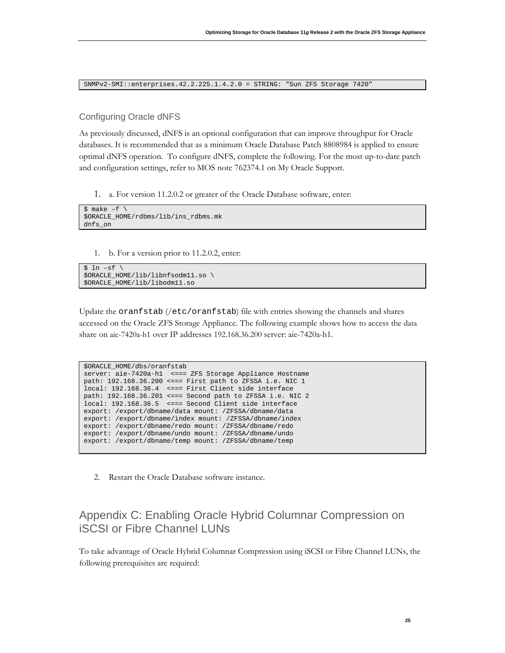SNMPv2-SMI::enterprises.42.2.225.1.4.2.0 = STRING: "Sun ZFS Storage 7420"

### Configuring Oracle dNFS

As previously discussed, dNFS is an optional configuration that can improve throughput for Oracle databases. It is recommended that as a minimum Oracle Database Patch 8808984 is applied to ensure optimal dNFS operation. To configure dNFS, complete the following. For the most up-to-date patch and configuration settings, refer to MOS note 762374.1 on My Oracle Support.

1. a. For version 11.2.0.2 or greater of the Oracle Database software, enter:

```
$ make -f$ORACLE_HOME/rdbms/lib/ins_rdbms.mk
dnfs_on
```
1. b. For a version prior to 11.2.0.2, enter:

```
$ ln -sf \$ORACLE_HOME/lib/libnfsodm11.so \
$ORACLE_HOME/lib/libodm11.so
```
Update the oranfstab (/etc/oranfstab) file with entries showing the channels and shares accessed on the Oracle ZFS Storage Appliance. The following example shows how to access the data share on aie-7420a-h1 over IP addresses 192.168.36.200 server: aie-7420a-h1.

```
$ORACLE_HOME/dbs/oranfstab
server: aie-7420a-h1 <=== ZFS Storage Appliance Hostname
path: 192.168.36.200 <=== First path to ZFSSA i.e. NIC 1
local: 192.168.36.4 <=== First Client side interface
path: 192.168.36.201 <=== Second path to ZFSSA i.e. NIC 2
local: 192.168.36.5 <=== Second Client side interface
export: /export/dbname/data mount: /ZFSSA/dbname/data
export: /export/dbname/index mount: /ZFSSA/dbname/index
export: /export/dbname/redo mount: /ZFSSA/dbname/redo
export: /export/dbname/undo mount: /ZFSSA/dbname/undo
export: /export/dbname/temp mount: /ZFSSA/dbname/temp
```
2. Restart the Oracle Database software instance.

# Appendix C: Enabling Oracle Hybrid Columnar Compression on iSCSI or Fibre Channel LUNs

To take advantage of Oracle Hybrid Columnar Compression using iSCSI or Fibre Channel LUNs, the following prerequisites are required: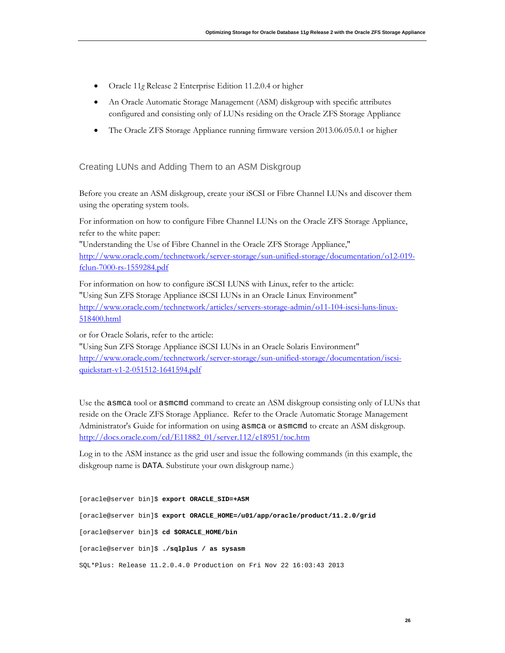- Oracle 11*g* Release 2 Enterprise Edition 11.2.0.4 or higher
- An Oracle Automatic Storage Management (ASM) diskgroup with specific attributes configured and consisting only of LUNs residing on the Oracle ZFS Storage Appliance
- The Oracle ZFS Storage Appliance running firmware version 2013.06.05.0.1 or higher

## Creating LUNs and Adding Them to an ASM Diskgroup

Before you create an ASM diskgroup, create your iSCSI or Fibre Channel LUNs and discover them using the operating system tools.

For information on how to configure Fibre Channel LUNs on the Oracle ZFS Storage Appliance, refer to the white paper:

"Understanding the Use of Fibre Channel in the Oracle ZFS Storage Appliance," [http://www.oracle.com/technetwork/server-storage/sun-unified-storage/documentation/o12-019](http://www.oracle.com/technetwork/server-storage/sun-unified-storage/documentation/o12-019-fclun-7000-rs-1559284.pdf) [fclun-7000-rs-1559284.pdf](http://www.oracle.com/technetwork/server-storage/sun-unified-storage/documentation/o12-019-fclun-7000-rs-1559284.pdf)

For information on how to configure iSCSI LUNS with Linux, refer to the article: "Using Sun ZFS Storage Appliance iSCSI LUNs in an Oracle Linux Environment" [http://www.oracle.com/technetwork/articles/servers-storage-admin/o11-104-iscsi-luns-linux-](http://www.oracle.com/technetwork/articles/servers-storage-admin/o11-104-iscsi-luns-linux-518400.html)[518400.html](http://www.oracle.com/technetwork/articles/servers-storage-admin/o11-104-iscsi-luns-linux-518400.html)

or for Oracle Solaris, refer to the article:

"Using Sun ZFS Storage Appliance iSCSI LUNs in an Oracle Solaris Environment" [http://www.oracle.com/technetwork/server-storage/sun-unified-storage/documentation/iscsi](http://www.oracle.com/technetwork/server-storage/sun-unified-storage/documentation/iscsi-quickstart-v1-2-051512-1641594.pdf)[quickstart-v1-2-051512-1641594.pdf](http://www.oracle.com/technetwork/server-storage/sun-unified-storage/documentation/iscsi-quickstart-v1-2-051512-1641594.pdf)

Use the asmca tool or asmcmd command to create an ASM diskgroup consisting only of LUNs that reside on the Oracle ZFS Storage Appliance. Refer to the Oracle Automatic Storage Management Administrator's Guide for information on using asmca or asmcmd to create an ASM diskgroup. [http://docs.oracle.com/cd/E11882\\_01/server.112/e18951/toc.htm](http://docs.oracle.com/cd/E11882_01/server.112/e18951/toc.htm)

Log in to the ASM instance as the grid user and issue the following commands (in this example, the diskgroup name is DATA. Substitute your own diskgroup name.)

[oracle@server bin]\$ **export ORACLE\_SID=+ASM** [oracle@server bin]\$ **export ORACLE\_HOME=/u01/app/oracle/product/11.2.0/grid** [oracle@server bin]\$ **cd \$ORACLE\_HOME/bin** [oracle@server bin]\$ **./sqlplus / as sysasm** SQL\*Plus: Release 11.2.0.4.0 Production on Fri Nov 22 16:03:43 2013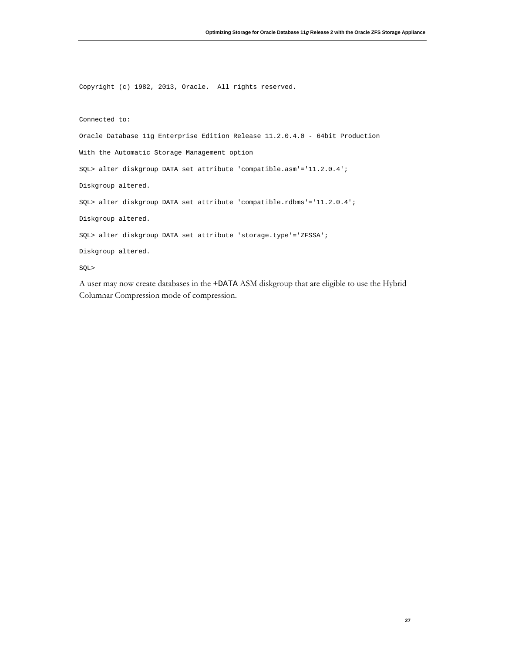Copyright (c) 1982, 2013, Oracle. All rights reserved.

Connected to:

Oracle Database 11g Enterprise Edition Release 11.2.0.4.0 - 64bit Production

With the Automatic Storage Management option

SQL> alter diskgroup DATA set attribute 'compatible.asm'='11.2.0.4';

Diskgroup altered.

SQL> alter diskgroup DATA set attribute 'compatible.rdbms'='11.2.0.4';

Diskgroup altered.

SQL> alter diskgroup DATA set attribute 'storage.type'='ZFSSA';

Diskgroup altered.

SQL>

A user may now create databases in the +DATA ASM diskgroup that are eligible to use the Hybrid Columnar Compression mode of compression.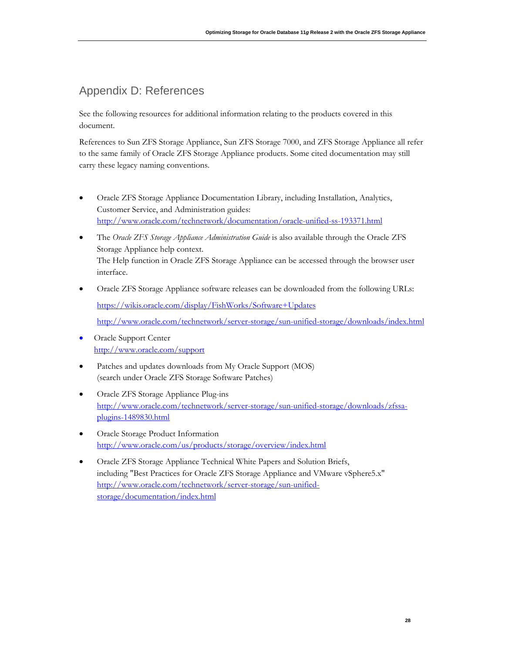# Appendix D: References

See the following resources for additional information relating to the products covered in this document.

References to Sun ZFS Storage Appliance, Sun ZFS Storage 7000, and ZFS Storage Appliance all refer to the same family of Oracle ZFS Storage Appliance products. Some cited documentation may still carry these legacy naming conventions.

- Oracle ZFS Storage Appliance Documentation Library, including Installation, Analytics, Customer Service, and Administration guides: <http://www.oracle.com/technetwork/documentation/oracle-unified-ss-193371.html>
- The *Oracle ZFS Storage Appliance Administration Guide* is also available through the Oracle ZFS Storage Appliance help context. The Help function in Oracle ZFS Storage Appliance can be accessed through the browser user interface.
- Oracle ZFS Storage Appliance software releases can be downloaded from the following URLs: <https://wikis.oracle.com/display/FishWorks/Software+Updates> <http://www.oracle.com/technetwork/server-storage/sun-unified-storage/downloads/index.html>
- Oracle Support Center <http://www.oracle.com/support>
- Patches and updates downloads from My Oracle Support (MOS) (search under Oracle ZFS Storage Software Patches)
- Oracle ZFS Storage Appliance Plug-ins [http://www.oracle.com/technetwork/server-storage/sun-unified-storage/downloads/zfssa](http://www.oracle.com/technetwork/server-storage/sun-unified-storage/downloads/zfssa-plugins-1489830.html)[plugins-1489830.html](http://www.oracle.com/technetwork/server-storage/sun-unified-storage/downloads/zfssa-plugins-1489830.html)
- Oracle Storage Product Information <http://www.oracle.com/us/products/storage/overview/index.html>
- Oracle ZFS Storage Appliance Technical White Papers and Solution Briefs, including "Best Practices for Oracle ZFS Storage Appliance and VMware vSphere5.x" [http://www.oracle.com/technetwork/server-storage/sun-unified](http://www.oracle.com/technetwork/server-storage/sun-unified-storage/documentation/index.html)[storage/documentation/index.html](http://www.oracle.com/technetwork/server-storage/sun-unified-storage/documentation/index.html)